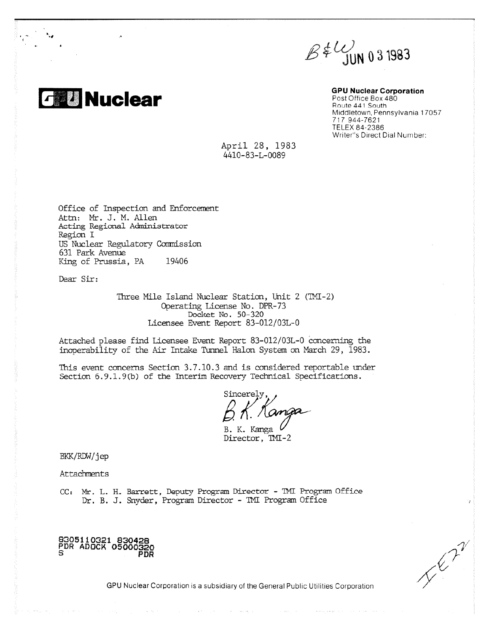

**and Nuclear GPU Nuclear Corporation**<br> **Annual Post Office Box 480** Post Office Box 480 Route 441 South Middletown, Pennsylvania 17057 717 944-7621 TELEX 84-2386 Writer"s Direct Dial Number:

> April 28, 1983 4410-83-L-0089

Office of Inspection and Enforcement Attn: Mr. J. M. Allen Acting Regional Adniniatrator Region I US Nuclear Regulatory Commission 631 Park Avenue King of Prussia, PA 19406

Dear Sir:

Three Mile Island Nuclear Station, Unit 2 (TMI-2) Operating License No. DPR-73 Docket No. 50-320 Licensee Event Report 83-012/03L-0

Attached please find Licensee Event Report 83-012/03L-0 concerning the inoperability of the Air Intake Tunnel Halon System on March 29, 1983.

This event concerns Section 3.7.10.3 and is considered reportable under Section 6.9.1.9(b) of the Interim Recovery Technical Specifications.

Sincerely anga

B. K. Kanga Director, TMI-2

BKK/RDW/jep

**Attachments** 

CC: Mr. L. H. Barrett, Deputy Program Director - TMI Program Office Dr. B. J. Snyder, Program Director - MI Program Office

**8305110321 830428 PDR ADOCK 05000320 S PDR**

The Map

GPU Nuclear Corporation is a subsidiary of the General Public Utilities Corporation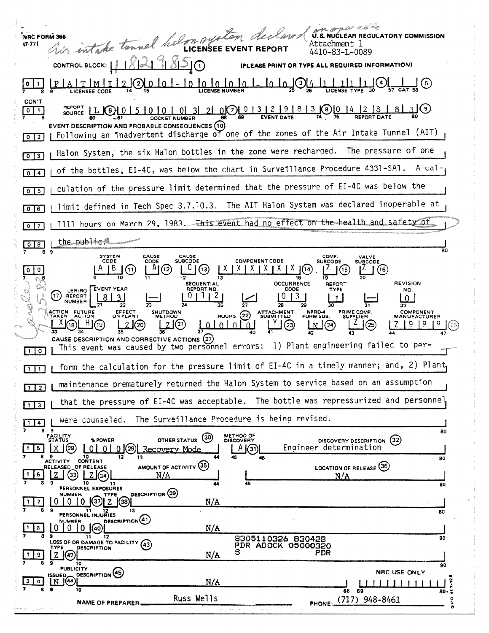| NRC FORM 366<br>$(7 - 77)$                             | ar estable<br>U.S. NUCLEAR REGULATORY COMMISSION<br>Tir intake tennel halon system decla<br>Attachment l<br>4410-83-L-0089                                                                                                                                                                                                                                                                                                                                                                                                                                                                                                                                                                           |
|--------------------------------------------------------|------------------------------------------------------------------------------------------------------------------------------------------------------------------------------------------------------------------------------------------------------------------------------------------------------------------------------------------------------------------------------------------------------------------------------------------------------------------------------------------------------------------------------------------------------------------------------------------------------------------------------------------------------------------------------------------------------|
|                                                        | CONTROL BLOCK:  <br><b>EASE PRINT OR TYPE ALL REQUIRED INFORMATION)</b><br><b>LICENSEE CODE</b>                                                                                                                                                                                                                                                                                                                                                                                                                                                                                                                                                                                                      |
| CON'T<br>$\circ$<br>1<br>$\overline{0}$ $\overline{2}$ | <b>REPORT</b><br>$\frac{3}{5}$ 21 0 $\frac{1}{2}$ $\frac{1}{2}$ $\frac{1}{2}$ $\frac{1}{2}$ $\frac{1}{2}$ $\frac{1}{2}$ $\frac{1}{2}$ $\frac{1}{2}$ $\frac{1}{2}$ $\frac{1}{2}$ $\frac{1}{2}$ $\frac{1}{2}$ $\frac{1}{2}$ $\frac{1}{2}$ $\frac{1}{2}$ $\frac{1}{2}$ $\frac{1}{2}$ $\frac{1}{2}$ $\frac{1}{2}$ $\frac{1}{2}$ $\frac{1}{$<br>3 I (9)<br>$\overline{8}$<br>(6)<br>SOURCE LL<br><b>EVENT DESCRIPTION AND PROBABLE CONSEQUENCES (10)</b><br>Following an inadvertent discharge of one of the zones of the Air Intake Tunnel (AIT)                                                                                                                                                         |
| 0 <sup>13</sup>                                        | Halon System, the six Halon bottles in the zone were recharged. The pressure of one                                                                                                                                                                                                                                                                                                                                                                                                                                                                                                                                                                                                                  |
| $\overline{4}$<br>$\mathbf{0}$                         | of the bottles, EI-4C, was below the chart in Surveillance Procedure 4331-SA1.<br>A cal-                                                                                                                                                                                                                                                                                                                                                                                                                                                                                                                                                                                                             |
| 5<br>$\mathbf{0}$                                      | culation of the pressure limit determined that the pressure of EI-4C was below the                                                                                                                                                                                                                                                                                                                                                                                                                                                                                                                                                                                                                   |
| 16<br>$\bf{0}$                                         | limit defined in Tech Spec 3.7.10.3. The AIT Halon System was declared inoperable at                                                                                                                                                                                                                                                                                                                                                                                                                                                                                                                                                                                                                 |
| $\overline{\phantom{a}}$<br>$\bullet$                  | 1111 hours on March 29, 1983. This event had no effect on the health and safety of                                                                                                                                                                                                                                                                                                                                                                                                                                                                                                                                                                                                                   |
| 8<br>$\circ$                                           | the public.<br>80                                                                                                                                                                                                                                                                                                                                                                                                                                                                                                                                                                                                                                                                                    |
| 8                                                      | 9<br><b>SYSTEM</b><br>CAUSE<br>CAUSE<br>COMP.<br>VALVE<br>CODE<br><b>COMPONENT CODE</b><br>CODE<br>SUBCODE<br><b>SUBCODE</b><br><b>SUBCODE</b><br>(11)<br>(12<br>【13】<br>A<br>(14<br>(16)<br>13<br><b>REVISION</b><br><b>OCCURRENCE</b><br><b>SEQUENTIAL</b><br>REPORT<br><b>EVENT YEAR</b><br>REPORT NO.<br>CODE<br>TYPE<br>NO.<br>LER/RO<br>,17,<br>REPORT<br><b>NUMBER</b><br>27<br>ACTION FUTURE<br>EFFECT<br>NPRD-4<br>PRIME COMP.<br>COMPONENT<br><b>SHUTDOWN</b><br>ATTACHMENT<br>SUBMITTED<br>(22)<br>ON PLANT<br><b>HOURS</b><br>TAKEN<br><b>ACTION</b><br>METHOD<br>FORM SUB.<br><b>SUPPLIER</b><br><b>MANUFACTURER</b><br>(23)<br>J (24)<br>CAUSE DESCRIPTION AND CORRECTIVE ACTIONS (27) |
| $\mathbf{o}$                                           | This event was caused by two personnel errors: 1) Plant engineering failed to per-                                                                                                                                                                                                                                                                                                                                                                                                                                                                                                                                                                                                                   |
| $1$ $1$                                                | form the calculation for the pressure limit of EI-4C in a timely manner; and, 2) Plant,                                                                                                                                                                                                                                                                                                                                                                                                                                                                                                                                                                                                              |
| $\sqrt{2}$                                             | maintenance prematurely returned the Halon System to service based on an assumption                                                                                                                                                                                                                                                                                                                                                                                                                                                                                                                                                                                                                  |
| -3                                                     | that the pressure of EI-4C was acceptable. The bottle was repressurized and personnel                                                                                                                                                                                                                                                                                                                                                                                                                                                                                                                                                                                                                |
| $\overline{4}$<br>$\mathbf{1}$<br>89                   | The Surveillance Procedure is being revised.<br>were counseled.<br>80                                                                                                                                                                                                                                                                                                                                                                                                                                                                                                                                                                                                                                |
| 5.                                                     | <b>FACILITY</b><br>STATUS<br>METHOD OF<br>DISCOVERY<br>(30)<br>OTHER STATUS<br>(32)<br>% POWER<br>DISCOVERY DESCRIPTION<br>Engineer determination<br>X(28)<br>$0   0  $ (29)<br>Recovery Mode<br>A(31)<br>n i                                                                                                                                                                                                                                                                                                                                                                                                                                                                                        |
| 6                                                      | 10.<br>12<br>13<br>45<br>46<br>80<br>ACTIVITY CONTENT<br>AMOUNT OF ACTIVITY (35)<br>LOCATION OF RELEASE (36)<br>RELEASED OF RELEASE<br>N/A<br>N/A<br>'34<br>9<br>10<br>45<br>44<br>11<br>80<br>PERSONNEL EXPOSURES<br>DESCRIPTION (39)<br><b>NUMBER</b>                                                                                                                                                                                                                                                                                                                                                                                                                                              |
|                                                        | <b>TYPE</b><br>N/A<br>$\left 38\right\rangle$<br>9<br>13<br>-11<br>12<br>80                                                                                                                                                                                                                                                                                                                                                                                                                                                                                                                                                                                                                          |
| 8                                                      | PERSONNEL INJURIES<br><b>DESCRIPTION</b> (41)<br>NUMBER<br>N/A<br>$0 \mid (40)$                                                                                                                                                                                                                                                                                                                                                                                                                                                                                                                                                                                                                      |
|                                                        | э<br>11<br>12<br>8305110326 830428<br>80<br>LOSS OF OR DAMAGE TO FACILITY (43)<br>PDR ADOCK 05000320<br><b>TYPE</b><br><b>DESCRIPTION</b><br>PDR<br>N/A<br>z<br>K42)                                                                                                                                                                                                                                                                                                                                                                                                                                                                                                                                 |
|                                                        | 10<br>80<br><b>PUBLICITY</b><br><b>NRC USE ONLY</b><br><b>DESCRIPTION</b> (45)                                                                                                                                                                                                                                                                                                                                                                                                                                                                                                                                                                                                                       |
| $\mathbf{o}$<br>8                                      | <b>ISSUED</b><br>N (44)<br>$7 - 92$<br>N/A<br>9<br>10<br>69<br>68<br>$80 - 5$                                                                                                                                                                                                                                                                                                                                                                                                                                                                                                                                                                                                                        |
|                                                        | Russ Wells<br>PHONE: (717) 948-8461<br>۰<br><b>NAME OF PREPARER.</b><br>e<br>O                                                                                                                                                                                                                                                                                                                                                                                                                                                                                                                                                                                                                       |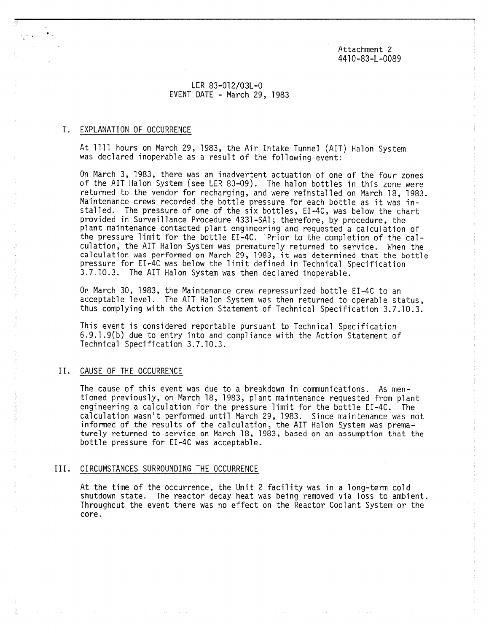Attachment 2 4410-83-L-0089

# LER 83-012/03L-0 EVENT DATE - March 29, 1983

## I. EXPLANATION OF OCCURRENCE

At 1111 hours on March 29, 1983, the Air Intake Tunnel (AIT) Halon System was declared inoperable as a result of the following event:

On March 3, 1983, there was an inadvertent actuation of one of the four zones of the AIT Halon System (see LER 83-09). The halon bottles in this zone were returned to the vendor for recharging, and were reinstalled on March 18, 1983. Maintenance crews recorded the bottle pressure for each bottle as it was installed. The pressure of one of the six bottles, EI-4C, was below the chart provided in Surveillance Procedure 4331-SAl; therefore, by procedure, the plant maintenance contacted plant engineering and requested a calculation of the pressure limit for the bottle EI-4C. 'Prior to the completion of the calculation, the AIT Halon System was prematurely returned to service. When the calculation was performed on March 29, 1983, it was determined that the bottle pressure for EI-4C was below the limit defined in Technical Specification 3.7.10.3. The AIT Halon System was then declared inoperable.

Or March 30, 1983, the Maintenance crew repressurized bottle EI-4C to an acceptable level. The AIT Halon System was then returned to operable status, thus complying with the Action Statement of Technical Specification 3.7.10.3.

This event is considered reportable pursuant to Technical Specification 6.9.1.9(b) due to entry into and compliance with the Action Statement of Technical Specification 3.7.10.3.

## II. CAUSE OF THE OCCURRENCE

The cause of this event was due to a breakdown in communications. As mentioned previously, on March 18, 1983, plant maintenance requested from plant engineering a calculation for the pressure limit for the bottle EI-4C. The calculation wasn't performed until March 29, 1983. Since maintenance was not informed of the results of the calculation, the AIT Halon System was prematurely returned to service on March 18, 1983, based on an assumption that the bottle pressure for EI-4C was acceptable.

#### III. CIRCUMSTANCES SURROUNDING THE OCCURRENCE

At the time of the occurrence, the Unit 2 facility was in a long-term cold shutdown state. The reactor decay heat was being removed via loss to ambient. Throughout the event there was no effect on the Reactor Coolant System or the core.